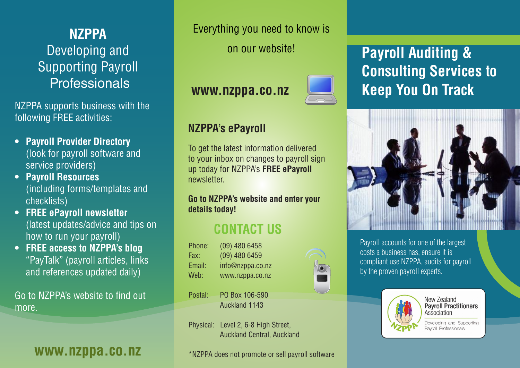## **NZPPA** Developing and Supporting Payroll **Professionals**

NZPPA supports business with the following FREE activities:

- **• Payroll Provider Directory**  (look for payroll software and service providers)
- **• Payroll Resources**  (including forms/templates and checklists)
- **• FREE ePayroll newsletter** (latest updates/advice and tips on how to run your payroll)
- **• FREE access to NZPPA's blog**  "PayTalk" (payroll articles, links and references updated daily)

Go to NZPPA's website to find out more.

Everything you need to know is

on our website!

## **www.nzppa.co.nz**

**NZPPA's ePayroll**

newsletter.

**details today!**



## **Payroll Auditing & Consulting Services to Keep You On Track**



Payroll accounts for one of the largest costs a business has, ensure it is compliant use NZPPA, audits for payroll by the proven payroll experts.



New Zealand **Payroll Practitioners** Association

Developing and Supporting Payroll Professionals

Fax: (09) 480 6459 Email: info@nzppa.co.nz Web: www.nzppa.co.nz

**CONTACT US**

To get the latest information delivered to your inbox on changes to payroll sign up today for NZPPA's **FREE ePayroll** 

**Go to NZPPA's website and enter your** 

- 
- Postal: PO Box 106-590 Auckland 1143

Phone: (09) 480 6458

Physical: Level 2, 6-8 High Street, Auckland Central, Auckland

**WWW.NZPPA.CO.NZ** \*NZPPA does not promote or sell payroll software